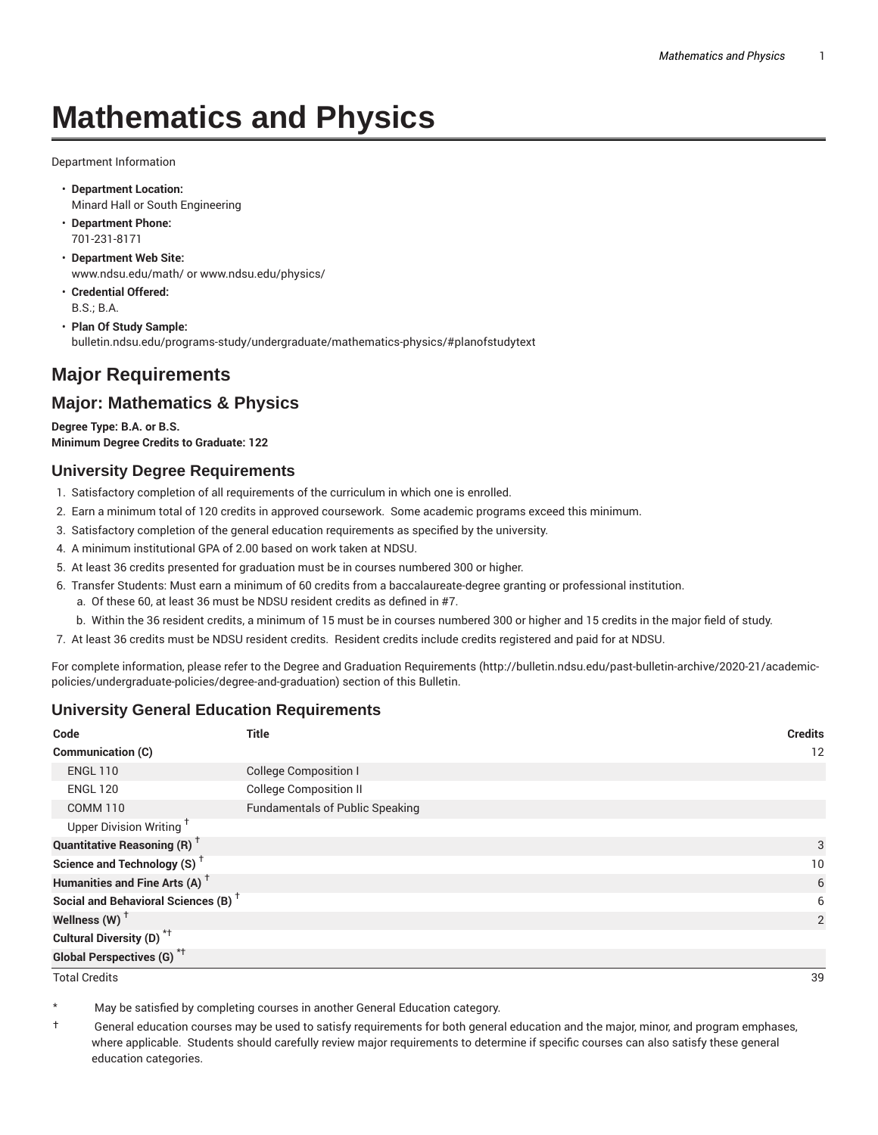# **Mathematics and Physics**

Department Information

- **Department Location:** Minard Hall or South Engineering
- **Department Phone:** 701-231-8171
- **Department Web Site:** www.ndsu.edu/math/ or www.ndsu.edu/physics/
- **Credential Offered:** B.S.; B.A.
- **Plan Of Study Sample:** bulletin.ndsu.edu/programs-study/undergraduate/mathematics-physics/#planofstudytext

# **Major Requirements**

## **Major: Mathematics & Physics**

**Degree Type: B.A. or B.S. Minimum Degree Credits to Graduate: 122**

#### **University Degree Requirements**

- 1. Satisfactory completion of all requirements of the curriculum in which one is enrolled.
- 2. Earn a minimum total of 120 credits in approved coursework. Some academic programs exceed this minimum.
- 3. Satisfactory completion of the general education requirements as specified by the university.
- 4. A minimum institutional GPA of 2.00 based on work taken at NDSU.
- 5. At least 36 credits presented for graduation must be in courses numbered 300 or higher.
- 6. Transfer Students: Must earn a minimum of 60 credits from a baccalaureate-degree granting or professional institution.
	- a. Of these 60, at least 36 must be NDSU resident credits as defined in #7.
	- b. Within the 36 resident credits, a minimum of 15 must be in courses numbered 300 or higher and 15 credits in the major field of study.
- 7. At least 36 credits must be NDSU resident credits. Resident credits include credits registered and paid for at NDSU.

For complete information, please refer to the Degree and Graduation Requirements (http://bulletin.ndsu.edu/past-bulletin-archive/2020-21/academicpolicies/undergraduate-policies/degree-and-graduation) section of this Bulletin.

### **University General Education Requirements**

| Code                                            | <b>Title</b>                           | <b>Credits</b> |
|-------------------------------------------------|----------------------------------------|----------------|
| <b>Communication (C)</b>                        |                                        | 12             |
| <b>ENGL 110</b>                                 | <b>College Composition I</b>           |                |
| <b>ENGL 120</b>                                 | <b>College Composition II</b>          |                |
| <b>COMM 110</b>                                 | <b>Fundamentals of Public Speaking</b> |                |
| Upper Division Writing <sup>+</sup>             |                                        |                |
| <b>Quantitative Reasoning (R)</b> <sup>†</sup>  |                                        | 3              |
| Science and Technology (S) <sup>+</sup>         |                                        | 10             |
| Humanities and Fine Arts (A) <sup>+</sup>       |                                        | 6              |
| Social and Behavioral Sciences (B) <sup>+</sup> |                                        | 6              |
| Wellness $(W)$ <sup>+</sup>                     |                                        | 2              |
| Cultural Diversity (D) <sup>*†</sup>            |                                        |                |
| <b>Global Perspectives (G)<sup>*†</sup></b>     |                                        |                |

Total Credits 39

May be satisfied by completing courses in another General Education category.

† General education courses may be used to satisfy requirements for both general education and the major, minor, and program emphases, where applicable. Students should carefully review major requirements to determine if specific courses can also satisfy these general education categories.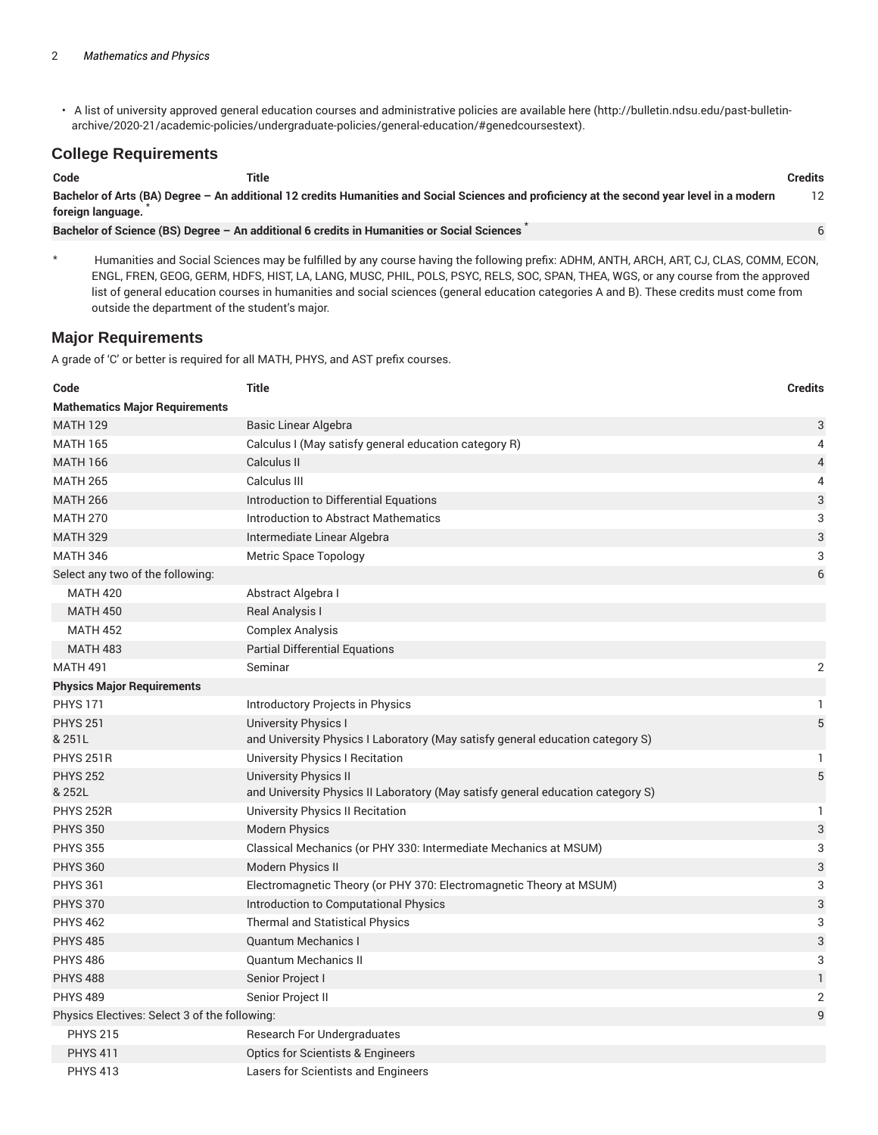• A list of university approved general education courses and administrative policies are available here (http://bulletin.ndsu.edu/past-bulletinarchive/2020-21/academic-policies/undergraduate-policies/general-education/#genedcoursestext).

#### **College Requirements**

| Code              | Title                                                                                                                                       | <b>Credits</b> |
|-------------------|---------------------------------------------------------------------------------------------------------------------------------------------|----------------|
| foreign language. | Bachelor of Arts (BA) Degree - An additional 12 credits Humanities and Social Sciences and proficiency at the second year level in a modern |                |
|                   | Bachelor of Science (BS) Degree - An additional 6 credits in Humanities or Social Sciences                                                  |                |

\* Humanities and Social Sciences may be fulfilled by any course having the following prefix: ADHM, ANTH, ARCH, ART, CJ, CLAS, COMM, ECON, ENGL, FREN, GEOG, GERM, HDFS, HIST, LA, LANG, MUSC, PHIL, POLS, PSYC, RELS, SOC, SPAN, THEA, WGS, or any course from the approved list of general education courses in humanities and social sciences (general education categories A and B). These credits must come from outside the department of the student's major.

#### **Major Requirements**

A grade of 'C' or better is required for all MATH, PHYS, and AST prefix courses.

| Code                                          | <b>Title</b>                                                                                                  | <b>Credits</b> |
|-----------------------------------------------|---------------------------------------------------------------------------------------------------------------|----------------|
| <b>Mathematics Major Requirements</b>         |                                                                                                               |                |
| <b>MATH 129</b>                               | Basic Linear Algebra                                                                                          | 3              |
| <b>MATH 165</b>                               | Calculus I (May satisfy general education category R)                                                         | 4              |
| <b>MATH 166</b>                               | Calculus II                                                                                                   | 4              |
| <b>MATH 265</b>                               | Calculus III                                                                                                  | 4              |
| <b>MATH 266</b>                               | Introduction to Differential Equations                                                                        | 3              |
| <b>MATH 270</b>                               | <b>Introduction to Abstract Mathematics</b>                                                                   | 3              |
| <b>MATH 329</b>                               | Intermediate Linear Algebra                                                                                   | 3              |
| <b>MATH 346</b>                               | <b>Metric Space Topology</b>                                                                                  | 3              |
| Select any two of the following:              |                                                                                                               | 6              |
| <b>MATH 420</b>                               | Abstract Algebra I                                                                                            |                |
| <b>MATH 450</b>                               | <b>Real Analysis I</b>                                                                                        |                |
| <b>MATH 452</b>                               | <b>Complex Analysis</b>                                                                                       |                |
| <b>MATH 483</b>                               | <b>Partial Differential Equations</b>                                                                         |                |
| <b>MATH 491</b>                               | Seminar                                                                                                       | 2              |
| <b>Physics Major Requirements</b>             |                                                                                                               |                |
| <b>PHYS 171</b>                               | Introductory Projects in Physics                                                                              | 1.             |
| <b>PHYS 251</b><br>& 251L                     | <b>University Physics I</b><br>and University Physics I Laboratory (May satisfy general education category S) | $\sqrt{5}$     |
| <b>PHYS 251R</b>                              | University Physics I Recitation                                                                               | 1              |
| <b>PHYS 252</b><br>& 252L                     | University Physics II<br>and University Physics II Laboratory (May satisfy general education category S)      | 5              |
| <b>PHYS 252R</b>                              | <b>University Physics II Recitation</b>                                                                       | 1              |
| <b>PHYS 350</b>                               | <b>Modern Physics</b>                                                                                         | 3              |
| <b>PHYS 355</b>                               | Classical Mechanics (or PHY 330: Intermediate Mechanics at MSUM)                                              | 3              |
| <b>PHYS 360</b>                               | Modern Physics II                                                                                             | 3              |
| <b>PHYS 361</b>                               | Electromagnetic Theory (or PHY 370: Electromagnetic Theory at MSUM)                                           | 3              |
| <b>PHYS 370</b>                               | Introduction to Computational Physics                                                                         | 3              |
| <b>PHYS 462</b>                               | <b>Thermal and Statistical Physics</b>                                                                        | 3              |
| <b>PHYS 485</b>                               | <b>Quantum Mechanics I</b>                                                                                    | 3              |
| <b>PHYS 486</b>                               | <b>Quantum Mechanics II</b>                                                                                   | 3              |
| <b>PHYS 488</b>                               | Senior Project I                                                                                              | $\mathbf{1}$   |
| <b>PHYS 489</b>                               | Senior Project II                                                                                             | 2              |
| Physics Electives: Select 3 of the following: |                                                                                                               | 9              |
| <b>PHYS 215</b>                               | Research For Undergraduates                                                                                   |                |
| <b>PHYS 411</b>                               | <b>Optics for Scientists &amp; Engineers</b>                                                                  |                |
| <b>PHYS 413</b>                               | Lasers for Scientists and Engineers                                                                           |                |